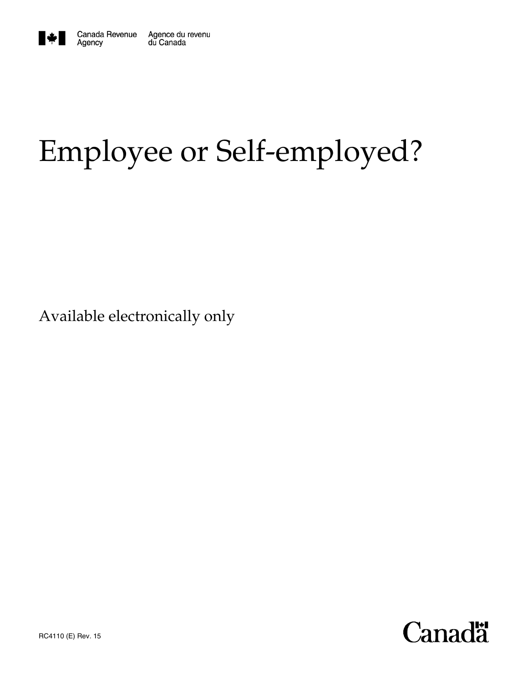

# Employee or Self-employed?

Available electronically only

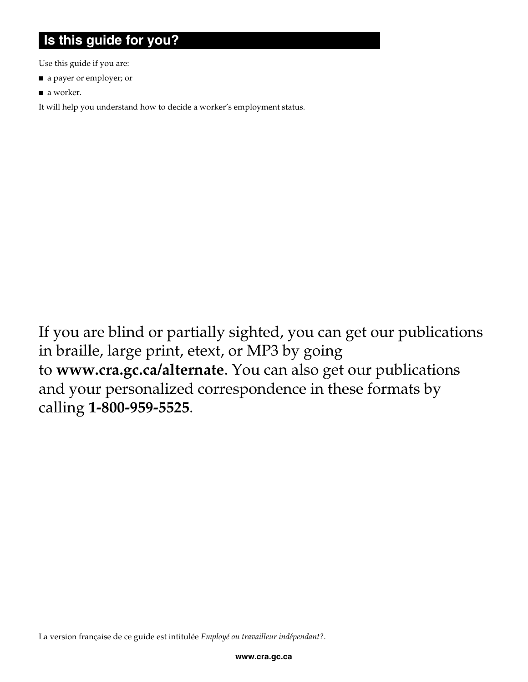### **Is this guide for you?**

Use this guide if you are:

- a payer or employer; or
- a worker.

It will help you understand how to decide a worker's employment status.

If you are blind or partially sighted, you can get our publications in braille, large print, etext, or MP3 by going to **www.cra.gc.ca/alternate**. You can also get our publications and your personalized correspondence in these formats by calling **1-800-959-5525**.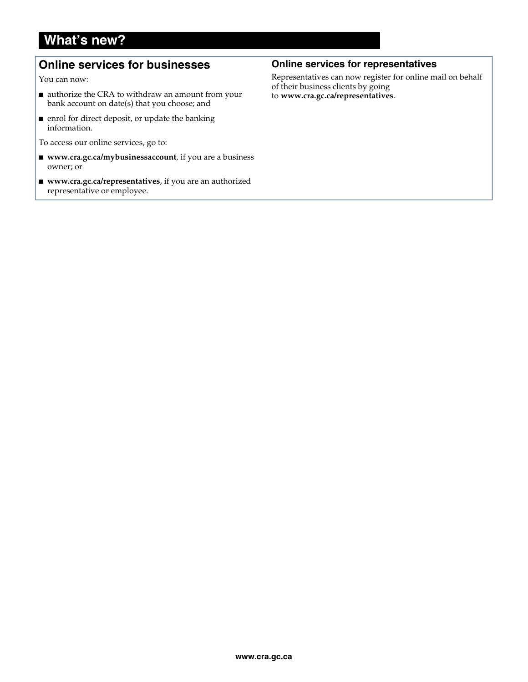### **What's new?**

### **Online services for businesses**

You can now:

- authorize the CRA to withdraw an amount from your bank account on date(s) that you choose; and
- enrol for direct deposit, or update the banking information.

To access our online services, go to:

- www.cra.gc.ca/mybusinessaccount, if you are a business owner; or
- **www.cra.gc.ca/representatives**, if you are an authorized representative or employee.

#### **Online services for representatives**

Representatives can now register for online mail on behalf of their business clients by going to **www.cra.gc.ca/representatives**.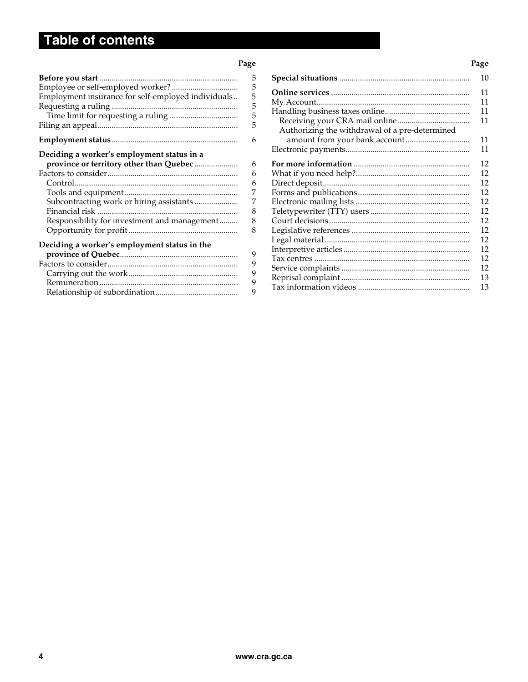## **Table of contents**

#### **Page Page 2012 Page 2013 Page 2013 Page 2013 Page 2013**

| Employment insurance for self-employed individuals                                                                                                                                | 5<br>5<br>5<br>5<br>5<br>5           |
|-----------------------------------------------------------------------------------------------------------------------------------------------------------------------------------|--------------------------------------|
|                                                                                                                                                                                   | 6                                    |
| Deciding a worker's employment status in a<br>province or territory other than Quebec<br>Subcontracting work or hiring assistants<br>Responsibility for investment and management | 6<br>6<br>6<br>7<br>7<br>8<br>8<br>8 |
| Deciding a worker's employment status in the                                                                                                                                      | 9<br>9<br>9<br>9<br>9                |

|                                                | 10 |
|------------------------------------------------|----|
|                                                | 11 |
|                                                | 11 |
|                                                | 11 |
|                                                | 11 |
| Authorizing the withdrawal of a pre-determined |    |
| amount from your bank account                  | 11 |
|                                                | 11 |
|                                                | 12 |
|                                                | 12 |
|                                                | 12 |
|                                                | 12 |
|                                                | 12 |
|                                                | 12 |
|                                                | 12 |
|                                                | 12 |
|                                                | 12 |
|                                                | 12 |
|                                                | 12 |
|                                                | 12 |
|                                                | 13 |
|                                                | 13 |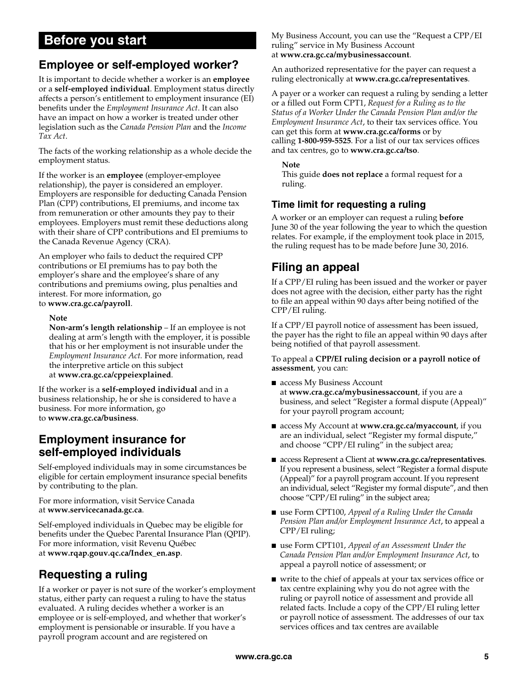### **Before you start**

### **Employee or self-employed worker?**

It is important to decide whether a worker is an **employee** or a **self-employed individual**. Employment status directly affects a person's entitlement to employment insurance (EI) benefits under the *Employment Insurance Act*. It can also have an impact on how a worker is treated under other legislation such as the *Canada Pension Plan* and the *Income Tax Act*.

The facts of the working relationship as a whole decide the employment status.

If the worker is an **employee** (employer-employee relationship), the payer is considered an employer. Employers are responsible for deducting Canada Pension Plan (CPP) contributions, EI premiums, and income tax from remuneration or other amounts they pay to their employees. Employers must remit these deductions along with their share of CPP contributions and EI premiums to the Canada Revenue Agency (CRA).

An employer who fails to deduct the required CPP contributions or EI premiums has to pay both the employer's share and the employee's share of any contributions and premiums owing, plus penalties and interest. For more information, go to **www.cra.gc.ca/payroll**.

#### **Note**

**Non-arm's length relationship** – If an employee is not dealing at arm's length with the employer, it is possible that his or her employment is not insurable under the *Employment Insurance Act.* For more information, read the interpretive article on this subject at **www.cra.gc.ca/cppeiexplained**.

If the worker is a **self-employed individual** and in a business relationship, he or she is considered to have a business. For more information, go to **www.cra.gc.ca/business**.

### **Employment insurance for self-employed individuals**

Self-employed individuals may in some circumstances be eligible for certain employment insurance special benefits by contributing to the plan.

For more information, visit Service Canada at **www.servicecanada.gc.ca**.

Self-employed individuals in Quebec may be eligible for benefits under the Quebec Parental Insurance Plan (QPIP). For more information, visit Revenu Québec at **www.rqap.gouv.qc.ca/Index\_en.asp**.

### **Requesting a ruling**

If a worker or payer is not sure of the worker's employment status, either party can request a ruling to have the status evaluated. A ruling decides whether a worker is an employee or is self-employed, and whether that worker's employment is pensionable or insurable. If you have a payroll program account and are registered on

My Business Account, you can use the "Request a CPP/EI ruling" service in My Business Account at **www.cra.gc.ca/mybusinessaccount**.

An authorized representative for the payer can request a ruling electronically at **www.cra.gc.ca/representatives**.

A payer or a worker can request a ruling by sending a letter or a filled out Form CPT1, *Request for a Ruling as to the Status of a Worker Under the Canada Pension Plan and/or the Employment Insurance Act*, to their tax services office. You can get this form at **www.cra.gc.ca/forms** or by calling **1-800-959-5525**. For a list of our tax services offices and tax centres, go to **www.cra.gc.ca/tso**.

**Note** 

This guide **does not replace** a formal request for a ruling.

#### **Time limit for requesting a ruling**

A worker or an employer can request a ruling **before** June 30 of the year following the year to which the question relates. For example, if the employment took place in 2015, the ruling request has to be made before June 30, 2016.

### **Filing an appeal**

If a CPP/EI ruling has been issued and the worker or payer does not agree with the decision, either party has the right to file an appeal within 90 days after being notified of the CPP/EI ruling.

If a CPP/EI payroll notice of assessment has been issued, the payer has the right to file an appeal within 90 days after being notified of that payroll assessment.

To appeal a **CPP/EI ruling decision or a payroll notice of assessment**, you can:

- access My Business Account at **www.cra.gc.ca/mybusinessaccount**, if you are a business, and select "Register a formal dispute (Appeal)" for your payroll program account;
- access My Account at **www.cra.gc.ca/myaccount**, if you are an individual, select "Register my formal dispute," and choose "CPP/EI ruling" in the subject area;
- access Represent a Client at **www.cra.gc.ca/representatives**. If you represent a business, select "Register a formal dispute (Appeal)" for a payroll program account. If you represent an individual, select "Register my formal dispute", and then choose "CPP/EI ruling" in the subject area;
- use Form CPT100, *Appeal of a Ruling Under the Canada Pension Plan and/or Employment Insurance Act*, to appeal a CPP/EI ruling;
- use Form CPT101, *Appeal of an Assessment Under the Canada Pension Plan and/or Employment Insurance Act*, to appeal a payroll notice of assessment; or
- write to the chief of appeals at your tax services office or tax centre explaining why you do not agree with the ruling or payroll notice of assessment and provide all related facts. Include a copy of the CPP/EI ruling letter or payroll notice of assessment. The addresses of our tax services offices and tax centres are available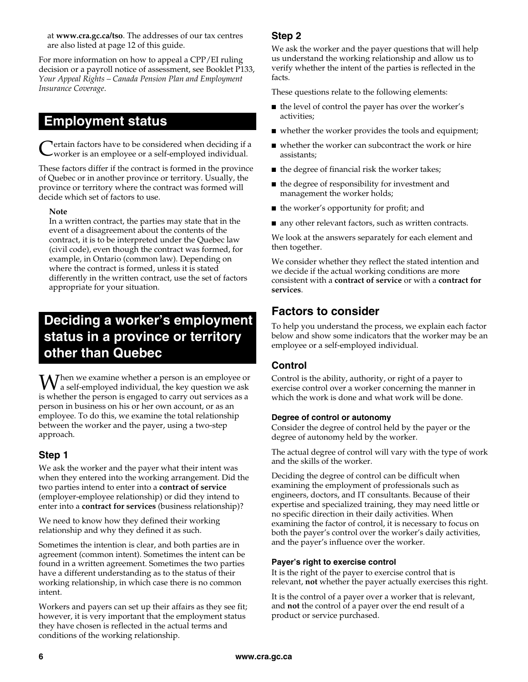at **www.cra.gc.ca/tso**. The addresses of our tax centres are also listed at page 12 of this guide.

For more information on how to appeal a CPP/EI ruling decision or a payroll notice of assessment, see Booklet P133, *Your Appeal Rights – Canada Pension Plan and Employment Insurance Coverage*.

### **Employment status**

ertain factors have to be considered when deciding if a worker is an employee or a self-employed individual. C

These factors differ if the contract is formed in the province of Quebec or in another province or territory. Usually, the province or territory where the contract was formed will decide which set of factors to use.

#### **Note**

In a written contract, the parties may state that in the event of a disagreement about the contents of the contract, it is to be interpreted under the Quebec law (civil code), even though the contract was formed, for example, in Ontario (common law). Depending on where the contract is formed, unless it is stated differently in the written contract, use the set of factors appropriate for your situation.

### **Deciding a worker's employment status in a province or territory other than Quebec**

hen we examine whether a person is an employee or **W** hen we examine whether a person is an employee or<br>a self-employed individual, the key question we ask is whether the person is engaged to carry out services as a person in business on his or her own account, or as an employee. To do this, we examine the total relationship between the worker and the payer, using a two-step approach.

#### **Step 1**

We ask the worker and the payer what their intent was when they entered into the working arrangement. Did the two parties intend to enter into a **contract of service** (employer-employee relationship) or did they intend to enter into a **contract for services** (business relationship)?

We need to know how they defined their working relationship and why they defined it as such.

Sometimes the intention is clear, and both parties are in agreement (common intent). Sometimes the intent can be found in a written agreement. Sometimes the two parties have a different understanding as to the status of their working relationship, in which case there is no common intent.

Workers and payers can set up their affairs as they see fit; however, it is very important that the employment status they have chosen is reflected in the actual terms and conditions of the working relationship.

#### **Step 2**

We ask the worker and the payer questions that will help us understand the working relationship and allow us to verify whether the intent of the parties is reflected in the facts.

These questions relate to the following elements:

- the level of control the payer has over the worker's activities;
- whether the worker provides the tools and equipment;
- whether the worker can subcontract the work or hire assistants;
- the degree of financial risk the worker takes;
- the degree of responsibility for investment and management the worker holds;
- the worker's opportunity for profit; and
- any other relevant factors, such as written contracts.

We look at the answers separately for each element and then together.

We consider whether they reflect the stated intention and we decide if the actual working conditions are more consistent with a **contract of service** or with a **contract for services**.

### **Factors to consider**

To help you understand the process, we explain each factor below and show some indicators that the worker may be an employee or a self-employed individual.

#### **Control**

Control is the ability, authority, or right of a payer to exercise control over a worker concerning the manner in which the work is done and what work will be done.

#### **Degree of control or autonomy**

Consider the degree of control held by the payer or the degree of autonomy held by the worker.

The actual degree of control will vary with the type of work and the skills of the worker.

Deciding the degree of control can be difficult when examining the employment of professionals such as engineers, doctors, and IT consultants. Because of their expertise and specialized training, they may need little or no specific direction in their daily activities. When examining the factor of control, it is necessary to focus on both the payer's control over the worker's daily activities, and the payer's influence over the worker.

#### **Payer's right to exercise control**

It is the right of the payer to exercise control that is relevant, **not** whether the payer actually exercises this right.

It is the control of a payer over a worker that is relevant, and **not** the control of a payer over the end result of a product or service purchased.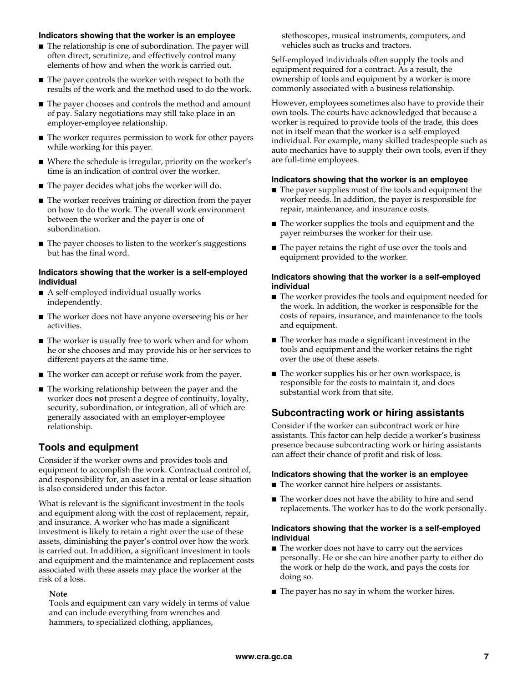#### **Indicators showing that the worker is an employee**

- The relationship is one of subordination. The payer will often direct, scrutinize, and effectively control many elements of how and when the work is carried out.
- The payer controls the worker with respect to both the results of the work and the method used to do the work.
- The payer chooses and controls the method and amount of pay. Salary negotiations may still take place in an employer-employee relationship.
- The worker requires permission to work for other payers while working for this payer.
- Where the schedule is irregular, priority on the worker's time is an indication of control over the worker.
- The payer decides what jobs the worker will do.
- The worker receives training or direction from the payer on how to do the work. The overall work environment between the worker and the payer is one of subordination.
- The payer chooses to listen to the worker's suggestions but has the final word.

#### **Indicators showing that the worker is a self-employed individual**

- A self-employed individual usually works independently.
- The worker does not have anyone overseeing his or her activities.
- The worker is usually free to work when and for whom he or she chooses and may provide his or her services to different payers at the same time.
- The worker can accept or refuse work from the payer.
- The working relationship between the payer and the worker does **not** present a degree of continuity, loyalty, security, subordination, or integration, all of which are generally associated with an employer-employee relationship.

#### **Tools and equipment**

Consider if the worker owns and provides tools and equipment to accomplish the work. Contractual control of, and responsibility for, an asset in a rental or lease situation is also considered under this factor.

What is relevant is the significant investment in the tools and equipment along with the cost of replacement, repair, and insurance. A worker who has made a significant investment is likely to retain a right over the use of these assets, diminishing the payer's control over how the work is carried out. In addition, a significant investment in tools and equipment and the maintenance and replacement costs associated with these assets may place the worker at the risk of a loss.

#### **Note**

Tools and equipment can vary widely in terms of value and can include everything from wrenches and hammers, to specialized clothing, appliances,

stethoscopes, musical instruments, computers, and vehicles such as trucks and tractors.

Self-employed individuals often supply the tools and equipment required for a contract. As a result, the ownership of tools and equipment by a worker is more commonly associated with a business relationship.

However, employees sometimes also have to provide their own tools. The courts have acknowledged that because a worker is required to provide tools of the trade, this does not in itself mean that the worker is a self-employed individual. For example, many skilled tradespeople such as auto mechanics have to supply their own tools, even if they are full-time employees.

#### **Indicators showing that the worker is an employee**

- The payer supplies most of the tools and equipment the worker needs. In addition, the payer is responsible for repair, maintenance, and insurance costs.
- The worker supplies the tools and equipment and the payer reimburses the worker for their use.
- The payer retains the right of use over the tools and equipment provided to the worker.

#### **Indicators showing that the worker is a self-employed individual**

- The worker provides the tools and equipment needed for the work. In addition, the worker is responsible for the costs of repairs, insurance, and maintenance to the tools and equipment.
- The worker has made a significant investment in the tools and equipment and the worker retains the right over the use of these assets.
- The worker supplies his or her own workspace, is responsible for the costs to maintain it, and does substantial work from that site.

#### **Subcontracting work or hiring assistants**

Consider if the worker can subcontract work or hire assistants. This factor can help decide a worker's business presence because subcontracting work or hiring assistants can affect their chance of profit and risk of loss.

#### **Indicators showing that the worker is an employee**

- The worker cannot hire helpers or assistants.
- The worker does not have the ability to hire and send replacements. The worker has to do the work personally.

#### **Indicators showing that the worker is a self-employed individual**

- The worker does not have to carry out the services personally. He or she can hire another party to either do the work or help do the work, and pays the costs for doing so.
- The payer has no say in whom the worker hires.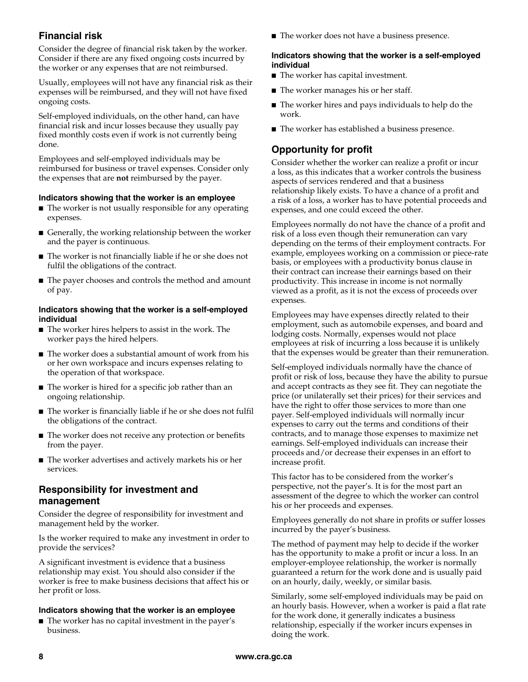#### **Financial risk**

Consider the degree of financial risk taken by the worker. Consider if there are any fixed ongoing costs incurred by the worker or any expenses that are not reimbursed.

Usually, employees will not have any financial risk as their expenses will be reimbursed, and they will not have fixed ongoing costs.

Self-employed individuals, on the other hand, can have financial risk and incur losses because they usually pay fixed monthly costs even if work is not currently being done.

Employees and self-employed individuals may be reimbursed for business or travel expenses. Consider only the expenses that are **not** reimbursed by the payer.

#### **Indicators showing that the worker is an employee**

- The worker is not usually responsible for any operating expenses.
- Generally, the working relationship between the worker and the payer is continuous.
- The worker is not financially liable if he or she does not fulfil the obligations of the contract.
- The payer chooses and controls the method and amount of pay.

#### **Indicators showing that the worker is a self-employed individual**

- The worker hires helpers to assist in the work. The worker pays the hired helpers.
- The worker does a substantial amount of work from his or her own workspace and incurs expenses relating to the operation of that workspace.
- The worker is hired for a specific job rather than an ongoing relationship.
- The worker is financially liable if he or she does not fulfil the obligations of the contract.
- The worker does not receive any protection or benefits from the payer.
- The worker advertises and actively markets his or her services.

#### **Responsibility for investment and management**

Consider the degree of responsibility for investment and management held by the worker.

Is the worker required to make any investment in order to provide the services?

A significant investment is evidence that a business relationship may exist. You should also consider if the worker is free to make business decisions that affect his or her profit or loss.

#### **Indicators showing that the worker is an employee**

■ The worker has no capital investment in the payer's business.

■ The worker does not have a business presence.

#### **Indicators showing that the worker is a self-employed individual**

- The worker has capital investment.
- The worker manages his or her staff.
- The worker hires and pays individuals to help do the work.
- The worker has established a business presence.

#### **Opportunity for profit**

Consider whether the worker can realize a profit or incur a loss, as this indicates that a worker controls the business aspects of services rendered and that a business relationship likely exists. To have a chance of a profit and a risk of a loss, a worker has to have potential proceeds and expenses, and one could exceed the other.

Employees normally do not have the chance of a profit and risk of a loss even though their remuneration can vary depending on the terms of their employment contracts. For example, employees working on a commission or piece-rate basis, or employees with a productivity bonus clause in their contract can increase their earnings based on their productivity. This increase in income is not normally viewed as a profit, as it is not the excess of proceeds over expenses.

Employees may have expenses directly related to their employment, such as automobile expenses, and board and lodging costs. Normally, expenses would not place employees at risk of incurring a loss because it is unlikely that the expenses would be greater than their remuneration.

Self-employed individuals normally have the chance of profit or risk of loss, because they have the ability to pursue and accept contracts as they see fit. They can negotiate the price (or unilaterally set their prices) for their services and have the right to offer those services to more than one payer. Self-employed individuals will normally incur expenses to carry out the terms and conditions of their contracts, and to manage those expenses to maximize net earnings. Self-employed individuals can increase their proceeds and/or decrease their expenses in an effort to increase profit.

This factor has to be considered from the worker's perspective, not the payer's. It is for the most part an assessment of the degree to which the worker can control his or her proceeds and expenses.

Employees generally do not share in profits or suffer losses incurred by the payer's business.

The method of payment may help to decide if the worker has the opportunity to make a profit or incur a loss. In an employer-employee relationship, the worker is normally guaranteed a return for the work done and is usually paid on an hourly, daily, weekly, or similar basis.

Similarly, some self-employed individuals may be paid on an hourly basis. However, when a worker is paid a flat rate for the work done, it generally indicates a business relationship, especially if the worker incurs expenses in doing the work.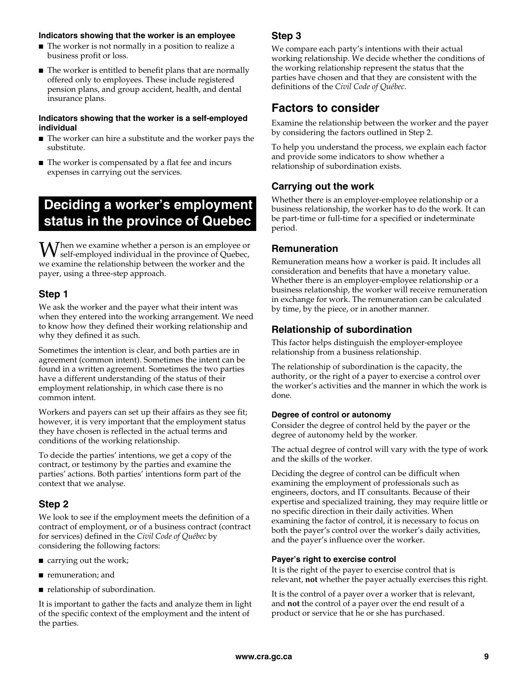#### **Indicators showing that the worker is an employee**

- The worker is not normally in a position to realize a business profit or loss.
- The worker is entitled to benefit plans that are normally offered only to employees. These include registered pension plans, and group accident, health, and dental insurance plans.

#### **Indicators showing that the worker is a self-employed individual**

- The worker can hire a substitute and the worker pays the substitute.
- The worker is compensated by a flat fee and incurs expenses in carrying out the services.

### **Deciding a worker's employment status in the province of Quebec**

hen we examine whether a person is an employee or **W** self-employed individual in the province of Quebec,<br>  $\mathbf{w}$  self-employed individual in the province of Quebec, we examine the relationship between the worker and the payer, using a three-step approach.

#### **Step 1**

We ask the worker and the payer what their intent was when they entered into the working arrangement. We need to know how they defined their working relationship and why they defined it as such.

Sometimes the intention is clear, and both parties are in agreement (common intent). Sometimes the intent can be found in a written agreement. Sometimes the two parties have a different understanding of the status of their employment relationship, in which case there is no common intent.

Workers and payers can set up their affairs as they see fit; however, it is very important that the employment status they have chosen is reflected in the actual terms and conditions of the working relationship.

To decide the parties' intentions, we get a copy of the contract, or testimony by the parties and examine the parties' actions. Both parties' intentions form part of the context that we analyse.

#### **Step 2**

We look to see if the employment meets the definition of a contract of employment, or of a business contract (contract for services) defined in the *Civil Code of Québec* by considering the following factors:

- carrying out the work;
- remuneration; and
- relationship of subordination.

It is important to gather the facts and analyze them in light of the specific context of the employment and the intent of the parties.

#### **Step 3**

We compare each party's intentions with their actual working relationship. We decide whether the conditions of the working relationship represent the status that the parties have chosen and that they are consistent with the definitions of the *Civil Code of Québec*.

### **Factors to consider**

Examine the relationship between the worker and the payer by considering the factors outlined in Step 2.

To help you understand the process, we explain each factor and provide some indicators to show whether a relationship of subordination exists.

#### **Carrying out the work**

Whether there is an employer-employee relationship or a business relationship, the worker has to do the work. It can be part-time or full-time for a specified or indeterminate period.

#### **Remuneration**

Remuneration means how a worker is paid. It includes all consideration and benefits that have a monetary value. Whether there is an employer-employee relationship or a business relationship, the worker will receive remuneration in exchange for work. The remuneration can be calculated by time, by the piece, or in another manner.

#### **Relationship of subordination**

This factor helps distinguish the employer-employee relationship from a business relationship.

The relationship of subordination is the capacity, the authority, or the right of a payer to exercise a control over the worker's activities and the manner in which the work is done.

#### **Degree of control or autonomy**

Consider the degree of control held by the payer or the degree of autonomy held by the worker.

The actual degree of control will vary with the type of work and the skills of the worker.

Deciding the degree of control can be difficult when examining the employment of professionals such as engineers, doctors, and IT consultants. Because of their expertise and specialized training, they may require little or no specific direction in their daily activities. When examining the factor of control, it is necessary to focus on both the payer's control over the worker's daily activities, and the payer's influence over the worker.

#### **Payer's right to exercise control**

It is the right of the payer to exercise control that is relevant, **not** whether the payer actually exercises this right.

It is the control of a payer over a worker that is relevant, and **not** the control of a payer over the end result of a product or service that he or she has purchased.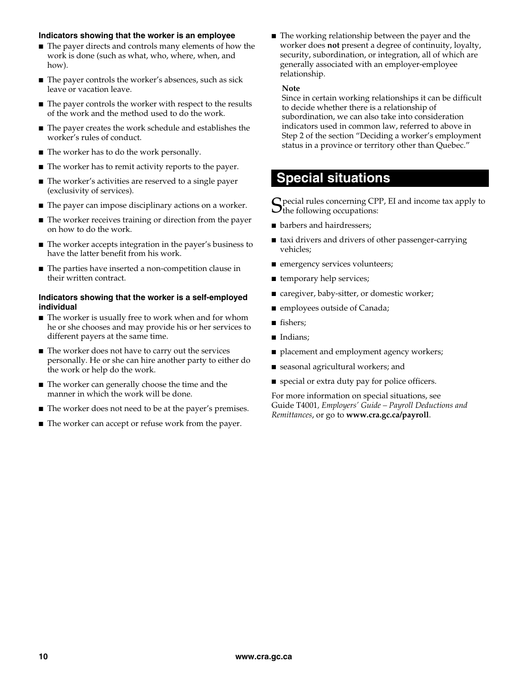#### **Indicators showing that the worker is an employee**

- The payer directs and controls many elements of how the work is done (such as what, who, where, when, and how).
- The payer controls the worker's absences, such as sick leave or vacation leave.
- The payer controls the worker with respect to the results of the work and the method used to do the work.
- The payer creates the work schedule and establishes the worker's rules of conduct.
- The worker has to do the work personally.
- The worker has to remit activity reports to the payer.
- The worker's activities are reserved to a single payer (exclusivity of services).
- The payer can impose disciplinary actions on a worker.
- The worker receives training or direction from the payer on how to do the work.
- The worker accepts integration in the payer's business to have the latter benefit from his work.
- The parties have inserted a non-competition clause in their written contract.

#### **Indicators showing that the worker is a self-employed individual**

- The worker is usually free to work when and for whom he or she chooses and may provide his or her services to different payers at the same time.
- The worker does not have to carry out the services personally. He or she can hire another party to either do the work or help do the work.
- The worker can generally choose the time and the manner in which the work will be done.
- The worker does not need to be at the payer's premises.
- The worker can accept or refuse work from the payer.

■ The working relationship between the payer and the worker does **not** present a degree of continuity, loyalty, security, subordination, or integration, all of which are generally associated with an employer-employee relationship.

#### **Note**

Since in certain working relationships it can be difficult to decide whether there is a relationship of subordination, we can also take into consideration indicators used in common law, referred to above in Step 2 of the section "Deciding a worker's employment status in a province or territory other than Quebec."

### **Special situations**

 $\bf{C}$  pecial rules concerning CPP, EI and income tax apply to  $S_{\text{the following}}$  concerning CPI $\sigma$ 

- barbers and hairdressers;
- taxi drivers and drivers of other passenger-carrying vehicles;
- emergency services volunteers;
- temporary help services;
- caregiver, baby-sitter, or domestic worker;
- employees outside of Canada;
- fishers;
- Indians;
- placement and employment agency workers;
- seasonal agricultural workers; and
- special or extra duty pay for police officers.

For more information on special situations, see Guide T4001*, Employers' Guide – Payroll Deductions and Remittances*, or go to **www.cra.gc.ca/payroll**.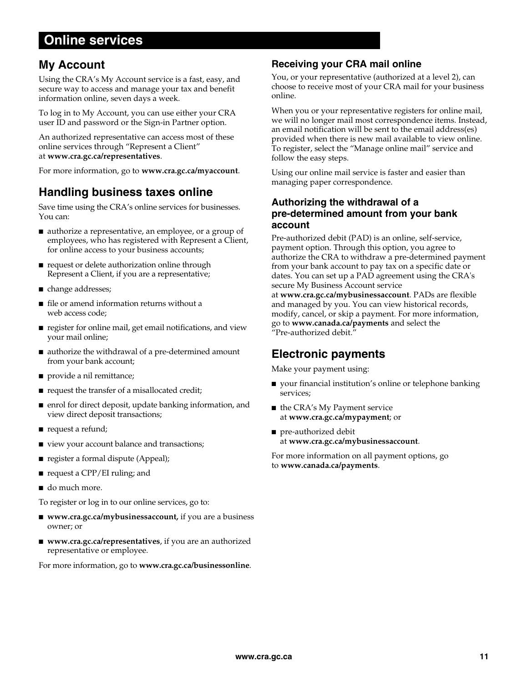### **Online services**

### **My Account**

Using the CRA's My Account service is a fast, easy, and secure way to access and manage your tax and benefit information online, seven days a week.

To log in to My Account, you can use either your CRA user ID and password or the Sign-in Partner option.

An authorized representative can access most of these online services through "Represent a Client" at **www.cra.gc.ca/representatives**.

For more information, go to **www.cra.gc.ca/myaccount**.

### **Handling business taxes online**

Save time using the CRA's online services for businesses. You can:

- authorize a representative, an employee, or a group of employees, who has registered with Represent a Client, for online access to your business accounts;
- request or delete authorization online through Represent a Client, if you are a representative;
- change addresses;
- file or amend information returns without a web access code;
- register for online mail, get email notifications, and view your mail online;
- authorize the withdrawal of a pre-determined amount from your bank account;
- provide a nil remittance;
- request the transfer of a misallocated credit;
- enrol for direct deposit, update banking information, and view direct deposit transactions;
- request a refund;
- view your account balance and transactions;
- register a formal dispute (Appeal);
- request a CPP/EI ruling; and
- do much more.

To register or log in to our online services, go to:

- **www.cra.gc.ca/mybusinessaccount,** if you are a business owner; or
- **www.cra.gc.ca/representatives**, if you are an authorized representative or employee.

For more information, go to **www.cra.gc.ca/businessonline**.

#### **Receiving your CRA mail online**

You, or your representative (authorized at a level 2), can choose to receive most of your CRA mail for your business online.

When you or your representative registers for online mail, we will no longer mail most correspondence items. Instead, an email notification will be sent to the email address(es) provided when there is new mail available to view online. To register, select the "Manage online mail" service and follow the easy steps.

Using our online mail service is faster and easier than managing paper correspondence.

#### **Authorizing the withdrawal of a pre-determined amount from your bank account**

Pre-authorized debit (PAD) is an online, self-service, payment option. Through this option, you agree to authorize the CRA to withdraw a pre-determined payment from your bank account to pay tax on a specific date or dates. You can set up a PAD agreement using the CRA's secure My Business Account service

at **www.cra.gc.ca/mybusinessaccount**. PADs are flexible and managed by you. You can view historical records, modify, cancel, or skip a payment. For more information, go to **www.canada.ca/payments** and select the "Pre-authorized debit."

### **Electronic payments**

Make your payment using:

- your financial institution's online or telephone banking services;
- the CRA's My Payment service at **www.cra.gc.ca/mypayment**; or
- pre-authorized debit at **www.cra.gc.ca/mybusinessaccount**.

For more information on all payment options, go to **www.canada.ca/payments**.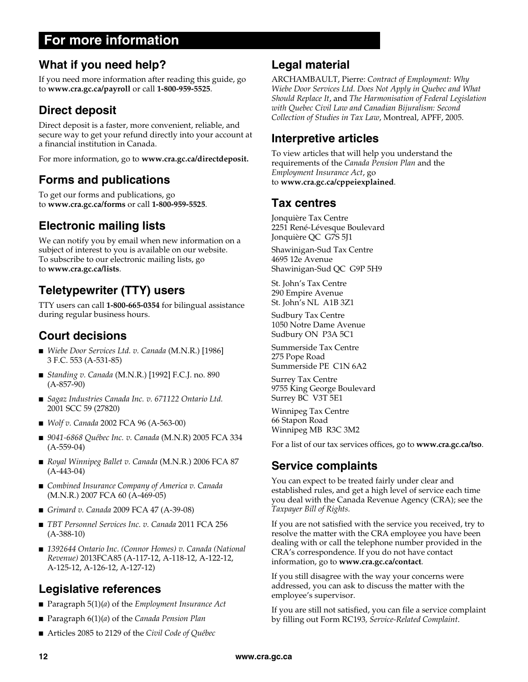### **For more information**

### **What if you need help?**

If you need more information after reading this guide, go to **www.cra.gc.ca/payroll** or call **1-800-959-5525**.

### **Direct deposit**

Direct deposit is a faster, more convenient, reliable, and secure way to get your refund directly into your account at a financial institution in Canada.

For more information, go to **www.cra.gc.ca/directdeposit.**

### **Forms and publications**

To get our forms and publications, go to **www.cra.gc.ca/forms** or call **1-800-959-5525**.

### **Electronic mailing lists**

We can notify you by email when new information on a subject of interest to you is available on our website. To subscribe to our electronic mailing lists, go to **www.cra.gc.ca/lists**.

### **Teletypewriter (TTY) users**

TTY users can call **1-800-665-0354** for bilingual assistance during regular business hours.

### **Court decisions**

- *Wiebe Door Services Ltd. v. Canada* (M.N.R.) [1986] 3 F.C. 553 (A-531-85)
- *Standing v. Canada* (M.N.R.) [1992] F.C.J. no. 890 (A-857-90)
- *Sagaz Industries Canada Inc. v. 671122 Ontario Ltd.* 2001 SCC 59 (27820)
- *Wolf v. Canada* 2002 FCA 96 (A-563-00)
- 9041-6868 Québec Inc. v. Canada (M.N.R) 2005 FCA 334 (A-559-04)
- *Royal Winnipeg Ballet v. Canada* (M.N.R.) 2006 FCA 87 (A-443-04)
- *Combined Insurance Company of America v. Canada* (M.N.R.) 2007 FCA 60 (A-469-05)
- *Grimard v. Canada* 2009 FCA 47 (A-39-08)
- *TBT Personnel Services Inc. v. Canada* 2011 FCA 256 (A-388-10)
- 1392644 Ontario Inc. (Connor Homes) v. Canada (National *Revenue)* 2013FCA85 (A-117-12, A-118-12, A-122-12, A-125-12, A-126-12, A-127-12)

### **Legislative references**

- Paragraph 5(1)(*a*) of the *Employment Insurance Act*
- Paragraph 6(1)(*a*) of the *Canada Pension Plan*
- Articles 2085 to 2129 of the *Civil Code of Québec*

### **Legal material**

ARCHAMBAULT, Pierre: *Contract of Employment: Why Wiebe Door Services Ltd. Does Not Apply in Quebec and What Should Replace It*, and *The Harmonisation of Federal Legislation with Quebec Civil Law and Canadian Bijuralism: Second Collection of Studies in Tax Law*, Montreal, APFF, 2005.

### **Interpretive articles**

To view articles that will help you understand the requirements of the *Canada Pension Plan* and the *Employment Insurance Act*, go to **www.cra.gc.ca/cppeiexplained**.

### **Tax centres**

Jonquière Tax Centre 2251 René-Lévesque Boulevard Jonquière QC G7S 5J1

Shawinigan-Sud Tax Centre 4695 12e Avenue Shawinigan-Sud QC G9P 5H9

St. John's Tax Centre 290 Empire Avenue St. John's NL A1B 3Z1

Sudbury Tax Centre 1050 Notre Dame Avenue Sudbury ON P3A 5C1

Summerside Tax Centre 275 Pope Road Summerside PE C1N 6A2

Surrey Tax Centre 9755 King George Boulevard Surrey BC V3T 5E1

Winnipeg Tax Centre 66 Stapon Road Winnipeg MB R3C 3M2

For a list of our tax services offices, go to **www.cra.gc.ca/tso**.

### **Service complaints**

You can expect to be treated fairly under clear and established rules, and get a high level of service each time you deal with the Canada Revenue Agency (CRA); see the *Taxpayer Bill of Rights.*

If you are not satisfied with the service you received, try to resolve the matter with the CRA employee you have been dealing with or call the telephone number provided in the CRA's correspondence. If you do not have contact information, go to **www.cra.gc.ca/contact**.

If you still disagree with the way your concerns were addressed, you can ask to discuss the matter with the employee's supervisor.

If you are still not satisfied, you can file a service complaint by filling out Form RC193*, Service-Related Complaint*.